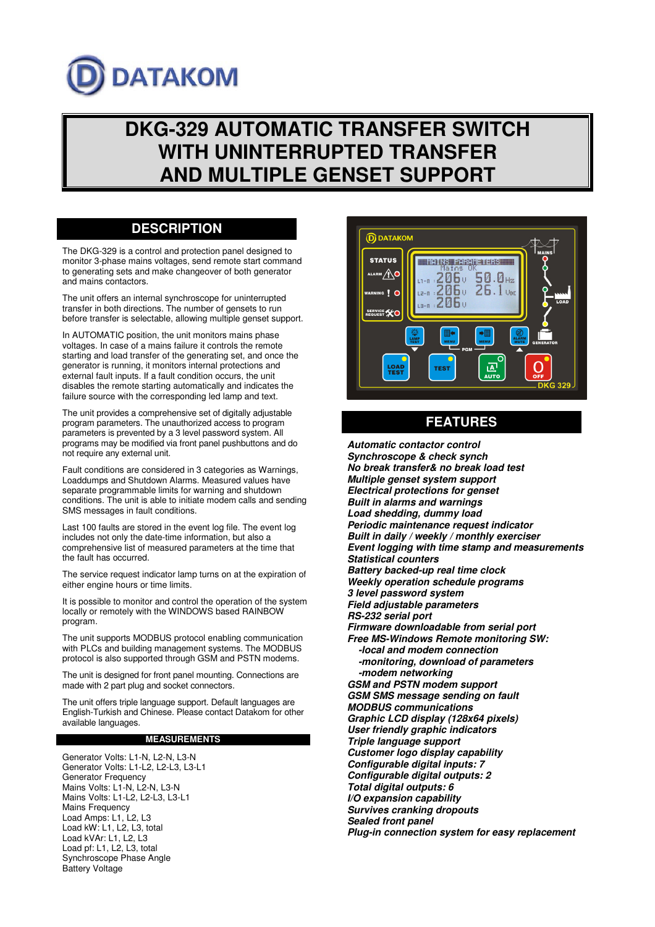# **DATAKOM**

## **DKG-329 AUTOMATIC TRANSFER SWITCH WITH UNINTERRUPTED TRANSFER AND MULTIPLE GENSET SUPPORT**

### **DESCRIPTION**

The DKG-329 is a control and protection panel designed to monitor 3-phase mains voltages, send remote start command to generating sets and make changeover of both generator and mains contactors.

The unit offers an internal synchroscope for uninterrupted transfer in both directions. The number of gensets to run before transfer is selectable, allowing multiple genset support.

In AUTOMATIC position, the unit monitors mains phase voltages. In case of a mains failure it controls the remote starting and load transfer of the generating set, and once the generator is running, it monitors internal protections and external fault inputs. If a fault condition occurs, the unit disables the remote starting automatically and indicates the failure source with the corresponding led lamp and text.

The unit provides a comprehensive set of digitally adjustable program parameters. The unauthorized access to program parameters is prevented by a 3 level password system. All programs may be modified via front panel pushbuttons and do not require any external unit.

Fault conditions are considered in 3 categories as Warnings, Loaddumps and Shutdown Alarms. Measured values have separate programmable limits for warning and shutdown conditions. The unit is able to initiate modem calls and sending SMS messages in fault conditions.

Last 100 faults are stored in the event log file. The event log includes not only the date-time information, but also a comprehensive list of measured parameters at the time that the fault has occurred.

The service request indicator lamp turns on at the expiration of either engine hours or time limits.

It is possible to monitor and control the operation of the system locally or remotely with the WINDOWS based RAINBOW program.

The unit supports MODBUS protocol enabling communication with PLCs and building management systems. The MODBUS protocol is also supported through GSM and PSTN modems.

The unit is designed for front panel mounting. Connections are made with 2 part plug and socket connectors.

The unit offers triple language support. Default languages are English-Turkish and Chinese. Please contact Datakom for other available languages.

#### **MEASUREMENTS**

Generator Volts: L1-N, L2-N, L3-N Generator Volts: L1-L2, L2-L3, L3-L1 Generator Frequency Mains Volts: L1-N, L2-N, L3-N Mains Volts: L1-L2, L2-L3, L3-L1 Mains Frequency Load Amps: L1, L2, L3 Load kW: L1, L2, L3, total Load kVAr: L1, L2, L3 Load pf: L1, L2, L3, total Synchroscope Phase Angle Battery Voltage



## **FEATURES**

**Automatic contactor control Synchroscope & check synch No break transfer& no break load test Multiple genset system support Electrical protections for genset Built in alarms and warnings Load shedding, dummy load Periodic maintenance request indicator Built in daily / weekly / monthly exerciser Event logging with time stamp and measurements Statistical counters Battery backed-up real time clock Weekly operation schedule programs 3 level password system Field adjustable parameters RS-232 serial port Firmware downloadable from serial port Free MS-Windows Remote monitoring SW: -local and modem connection -monitoring, download of parameters -modem networking GSM and PSTN modem support GSM SMS message sending on fault MODBUS communications Graphic LCD display (128x64 pixels) User friendly graphic indicators Triple language support Customer logo display capability Configurable digital inputs: 7 Configurable digital outputs: 2 Total digital outputs: 6 I/O expansion capability Survives cranking dropouts Sealed front panel Plug-in connection system for easy replacement**